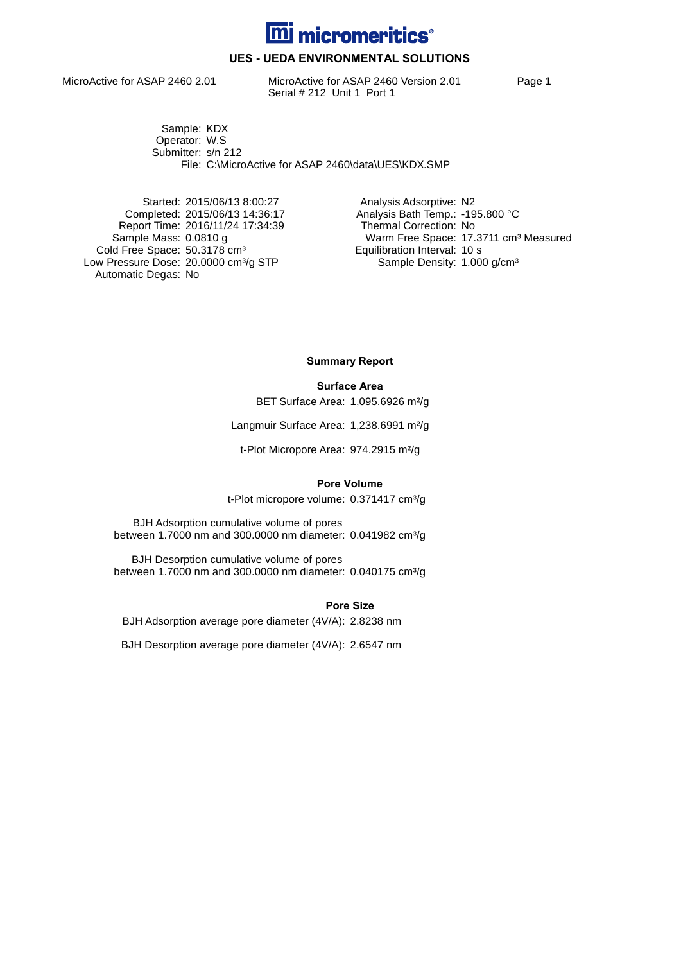

## **UES - UEDA ENVIRONMENTAL SOLUTIONS**

MicroActive for ASAP 2460 2.01 MicroActive for ASAP 2460 Version 2.01 Page 1 Serial # 212 Unit 1 Port 1

Sample: KDX Operator: W.S Submitter: s/n 212 File: C:\MicroActive for ASAP 2460\data\UES\KDX.SMP

Started: 2015/06/13 8:00:27 Analysis Adsorptive: N2 Report Time: 2016/11/24 17:34:39<br>Sample Mass: 0.0810 g Cold Free Space: 50.3178 cm<sup>3</sup> Equilibration Interval: 10 s Low Pressure Dose: 20.0000 cm<sup>3</sup>/g STP Sample Density: 1.000 g/cm<sup>3</sup> Automatic Degas: No

Completed: 2015/06/13 14:36:17 <br>Report Time: 2016/11/24 17:34:39 Thermal Correction: No Warm Free Space: 17.3711 cm<sup>3</sup> Measured<br>Equilibration Interval: 10 s

**Summary Report**

#### **Surface Area**

BET Surface Area: 1,095.6926 m²/g

Langmuir Surface Area: 1,238.6991 m²/g

t-Plot Micropore Area: 974.2915 m²/g

#### **Pore Volume**

t-Plot micropore volume: 0.371417 cm<sup>3</sup>/g

BJH Adsorption cumulative volume of pores between 1.7000 nm and 300.0000 nm diameter: 0.041982 cm<sup>3</sup>/g

BJH Desorption cumulative volume of pores between 1.7000 nm and 300.0000 nm diameter: 0.040175 cm<sup>3</sup>/g

**Pore Size**

BJH Adsorption average pore diameter (4V/A): 2.8238 nm

BJH Desorption average pore diameter (4V/A): 2.6547 nm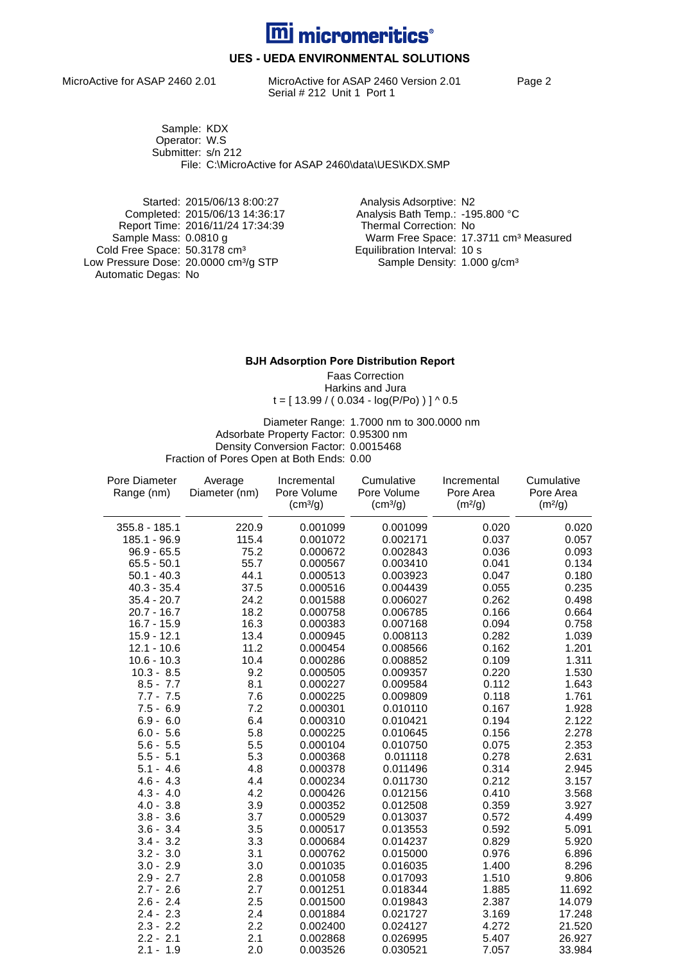

## **UES - UEDA ENVIRONMENTAL SOLUTIONS**

MicroActive for ASAP 2460 2.01 MicroActive for ASAP 2460 Version 2.01 Page 2 Serial # 212 Unit 1 Port 1

Sample: KDX Operator: W.S Submitter: s/n 212 File: C:\MicroActive for ASAP 2460\data\UES\KDX.SMP

Started: 2015/06/13 8:00:27 Analysis Adsorptive: N2 Report Time: 2016/11/24 17:34:39 Cold Free Space: 50.3178 cm<sup>3</sup> Equilibration Interval: 10 s Low Pressure Dose: 20.0000 cm<sup>3</sup>/g STP Sample Density: 1.000 g/cm<sup>3</sup> Automatic Degas: No

Analysis Bath Temp.: -195.800 °C<br>Thermal Correction: No Warm Free Space: 17.3711 cm<sup>3</sup> Measured<br>Equilibration Interval: 10 s

#### **BJH Adsorption Pore Distribution Report**

Faas Correction Harkins and Jura  $t = [ 13.99 / ( 0.034 - log(P/P<sub>O</sub>)) ] ^ 0.5$ 

Diameter Range: 1.7000 nm to 300.0000 nm Adsorbate Property Factor: 0.95300 nm Density Conversion Factor: 0.0015468 Fraction of Pores Open at Both Ends: 0.00

| Pore Diameter   | Average       | Incremental          | Cumulative           | Incremental         | Cumulative          |
|-----------------|---------------|----------------------|----------------------|---------------------|---------------------|
| Range (nm)      | Diameter (nm) | Pore Volume          | Pore Volume          | Pore Area           | Pore Area           |
|                 |               | (cm <sup>3</sup> /g) | (cm <sup>3</sup> /g) | (m <sup>2</sup> /g) | (m <sup>2</sup> /g) |
| $355.8 - 185.1$ | 220.9         | 0.001099             | 0.001099             | 0.020               | 0.020               |
| 185.1 - 96.9    | 115.4         | 0.001072             | 0.002171             | 0.037               | 0.057               |
| $96.9 - 65.5$   | 75.2          | 0.000672             | 0.002843             | 0.036               | 0.093               |
| $65.5 - 50.1$   | 55.7          | 0.000567             | 0.003410             | 0.041               | 0.134               |
| $50.1 - 40.3$   | 44.1          | 0.000513             | 0.003923             | 0.047               | 0.180               |
| $40.3 - 35.4$   | 37.5          | 0.000516             | 0.004439             | 0.055               | 0.235               |
| $35.4 - 20.7$   | 24.2          | 0.001588             | 0.006027             | 0.262               | 0.498               |
| $20.7 - 16.7$   | 18.2          | 0.000758             | 0.006785             | 0.166               | 0.664               |
| $16.7 - 15.9$   | 16.3          | 0.000383             | 0.007168             | 0.094               | 0.758               |
| $15.9 - 12.1$   | 13.4          | 0.000945             | 0.008113             | 0.282               | 1.039               |
| $12.1 - 10.6$   | 11.2          | 0.000454             | 0.008566             | 0.162               | 1.201               |
| $10.6 - 10.3$   | 10.4          | 0.000286             | 0.008852             | 0.109               | 1.311               |
| $10.3 - 8.5$    | 9.2           | 0.000505             | 0.009357             | 0.220               | 1.530               |
| $8.5 - 7.7$     | 8.1           | 0.000227             | 0.009584             | 0.112               | 1.643               |
| $7.7 - 7.5$     | 7.6           | 0.000225             | 0.009809             | 0.118               | 1.761               |
| $7.5 - 6.9$     | 7.2           | 0.000301             | 0.010110             | 0.167               | 1.928               |
| $6.9 - 6.0$     | 6.4           | 0.000310             | 0.010421             | 0.194               | 2.122               |
| $6.0 - 5.6$     | 5.8           | 0.000225             | 0.010645             | 0.156               | 2.278               |
| $5.6 - 5.5$     | 5.5           | 0.000104             | 0.010750             | 0.075               | 2.353               |
| $5.5 - 5.1$     | 5.3           | 0.000368             | 0.011118             | 0.278               | 2.631               |
| $5.1 - 4.6$     | 4.8           | 0.000378             | 0.011496             | 0.314               | 2.945               |
| $4.6 - 4.3$     | 4.4           | 0.000234             | 0.011730             | 0.212               | 3.157               |
| $4.3 - 4.0$     | 4.2           | 0.000426             | 0.012156             | 0.410               | 3.568               |
| $4.0 - 3.8$     | 3.9           | 0.000352             | 0.012508             | 0.359               | 3.927               |
| $3.8 - 3.6$     | 3.7           | 0.000529             | 0.013037             | 0.572               | 4.499               |
| $3.6 - 3.4$     | 3.5           | 0.000517             | 0.013553             | 0.592               | 5.091               |
| $3.4 - 3.2$     | 3.3           | 0.000684             | 0.014237             | 0.829               | 5.920               |
| $3.2 - 3.0$     | 3.1           | 0.000762             | 0.015000             | 0.976               | 6.896               |
| $3.0 - 2.9$     | 3.0           | 0.001035             | 0.016035             | 1.400               | 8.296               |
| $2.9 - 2.7$     | 2.8           | 0.001058             | 0.017093             | 1.510               | 9.806               |
| $2.7 - 2.6$     | 2.7           | 0.001251             | 0.018344             | 1.885               | 11.692              |
| $2.6 - 2.4$     | 2.5           | 0.001500             | 0.019843             | 2.387               | 14.079              |
| $2.4 - 2.3$     | 2.4           | 0.001884             | 0.021727             | 3.169               | 17.248              |
| $2.3 - 2.2$     | 2.2           | 0.002400             | 0.024127             | 4.272               | 21.520              |
| $2.2 - 2.1$     | 2.1           | 0.002868             | 0.026995             | 5.407               | 26.927              |
| $2.1 - 1.9$     | 2.0           | 0.003526             | 0.030521             | 7.057               | 33.984              |